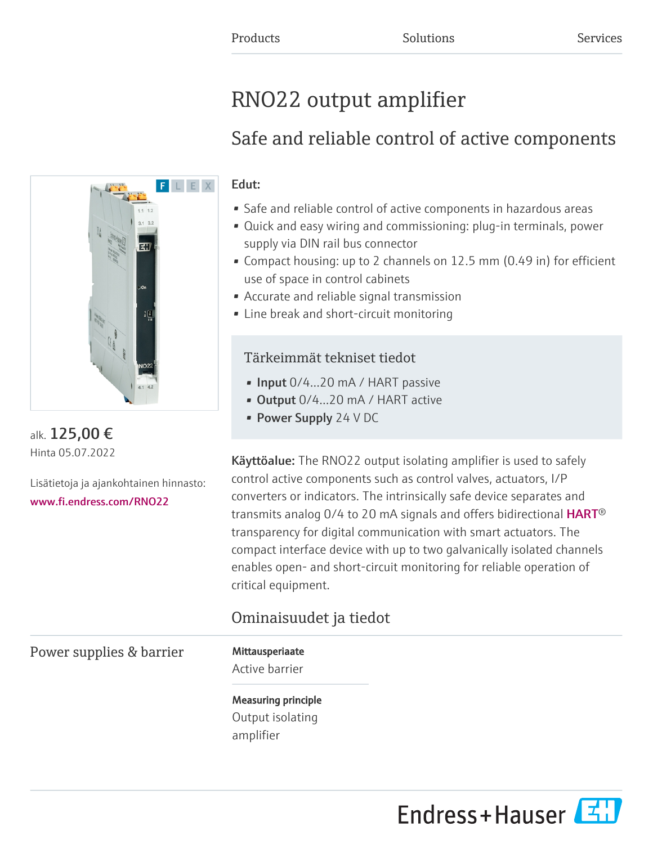# RNO22 output amplifier

# Safe and reliable control of active components

# Edut:

- Safe and reliable control of active components in hazardous areas
- Quick and easy wiring and commissioning: plug-in terminals, power supply via DIN rail bus connector
- Compact housing: up to 2 channels on 12.5 mm (0.49 in) for efficient use of space in control cabinets
- Accurate and reliable signal transmission
- Line break and short-circuit monitoring

# Tärkeimmät tekniset tiedot

- Input 0/4…20 mA / HART passive
- Output  $0/4$ ...20 mA / HART active
- Power Supply 24 V DC

Käyttöalue: The RNO22 output isolating amplifier is used to safely control active components such as control valves, actuators, I/P converters or indicators. The intrinsically safe device separates and transmitsanalog 0/4 to 20 mA signals and offers bidirectional  $\mathsf{HART}^\circledast$ transparency for digital communication with smart actuators. The compact interface device with up to two galvanically isolated channels enables open- and short-circuit monitoring for reliable operation of critical equipment.

# Ominaisuudet ja tiedot

Power supplies & barrier Mittausperiaate

Active barrier

Measuring principle Output isolating amplifier





alk. 125,00 € Hinta 05.07.2022

Lisätietoja ja ajankohtainen hinnasto: [www.fi.endress.com/RNO22](https://www.fi.endress.com/RNO22)